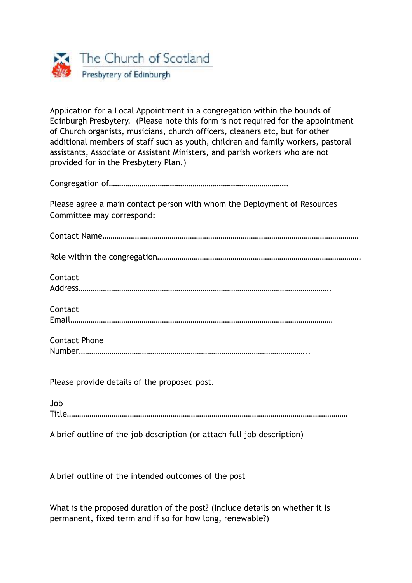

Application for a Local Appointment in a congregation within the bounds of Edinburgh Presbytery. (Please note this form is not required for the appointment of Church organists, musicians, church officers, cleaners etc, but for other additional members of staff such as youth, children and family workers, pastoral assistants, Associate or Assistant Ministers, and parish workers who are not provided for in the Presbytery Plan.)

Congregation of…………………………………………………………………………….

Please agree a main contact person with whom the Deployment of Resources Committee may correspond:

Role within the congregation……………………………………………………………………………………….

| Contact |  |
|---------|--|
|         |  |

Contact Email…………………………………………………………………………………………………………………

| Contact Phone |
|---------------|
|               |

Please provide details of the proposed post.

| Job               |  |
|-------------------|--|
| $- \cdot \cdot$ . |  |

A brief outline of the job description (or attach full job description)

A brief outline of the intended outcomes of the post

What is the proposed duration of the post? (Include details on whether it is permanent, fixed term and if so for how long, renewable?)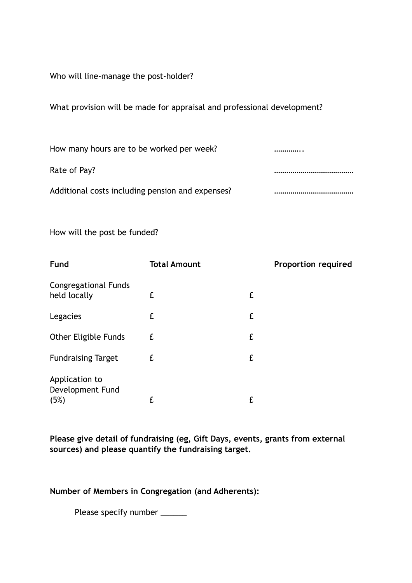Who will line-manage the post-holder?

What provision will be made for appraisal and professional development?

| How many hours are to be worked per week?        |  |
|--------------------------------------------------|--|
| Rate of Pay?                                     |  |
| Additional costs including pension and expenses? |  |

How will the post be funded?

| <b>Fund</b>                                 | <b>Total Amount</b> | <b>Proportion required</b> |
|---------------------------------------------|---------------------|----------------------------|
| <b>Congregational Funds</b><br>held locally | £                   | £                          |
| Legacies                                    | £                   | £                          |
| <b>Other Eligible Funds</b>                 | £                   | £                          |
| <b>Fundraising Target</b>                   | £                   | £                          |
| Application to<br>Development Fund<br>(5%)  |                     | £                          |

**Please give detail of fundraising (eg, Gift Days, events, grants from external sources) and please quantify the fundraising target.** 

|  |  |  |  | Number of Members in Congregation (and Adherents): |  |  |  |
|--|--|--|--|----------------------------------------------------|--|--|--|
|--|--|--|--|----------------------------------------------------|--|--|--|

Please specify number \_\_\_\_\_\_